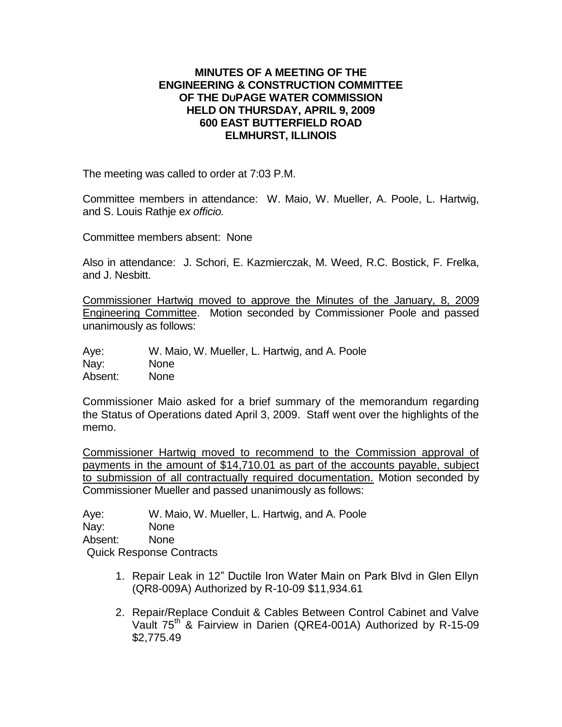## **MINUTES OF A MEETING OF THE ENGINEERING & CONSTRUCTION COMMITTEE OF THE DUPAGE WATER COMMISSION HELD ON THURSDAY, APRIL 9, 2009 600 EAST BUTTERFIELD ROAD ELMHURST, ILLINOIS**

The meeting was called to order at 7:03 P.M.

Committee members in attendance: W. Maio, W. Mueller, A. Poole, L. Hartwig, and S. Louis Rathje e*x officio.*

Committee members absent: None

Also in attendance: J. Schori, E. Kazmierczak, M. Weed, R.C. Bostick, F. Frelka, and J. Nesbitt.

Commissioner Hartwig moved to approve the Minutes of the January, 8, 2009 Engineering Committee. Motion seconded by Commissioner Poole and passed unanimously as follows:

Aye: W. Maio, W. Mueller, L. Hartwig, and A. Poole Nay: None Absent: None

Commissioner Maio asked for a brief summary of the memorandum regarding the Status of Operations dated April 3, 2009. Staff went over the highlights of the memo.

Commissioner Hartwig moved to recommend to the Commission approval of payments in the amount of \$14,710.01 as part of the accounts payable, subject to submission of all contractually required documentation. Motion seconded by Commissioner Mueller and passed unanimously as follows:

Aye: W. Maio, W. Mueller, L. Hartwig, and A. Poole Nay: None

Absent: None

Quick Response Contracts

- 1. Repair Leak in 12" Ductile Iron Water Main on Park Blvd in Glen Ellyn (QR8-009A) Authorized by R-10-09 \$11,934.61
- 2. Repair/Replace Conduit & Cables Between Control Cabinet and Valve Vault 75<sup>th</sup> & Fairview in Darien (QRE4-001A) Authorized by R-15-09 \$2,775.49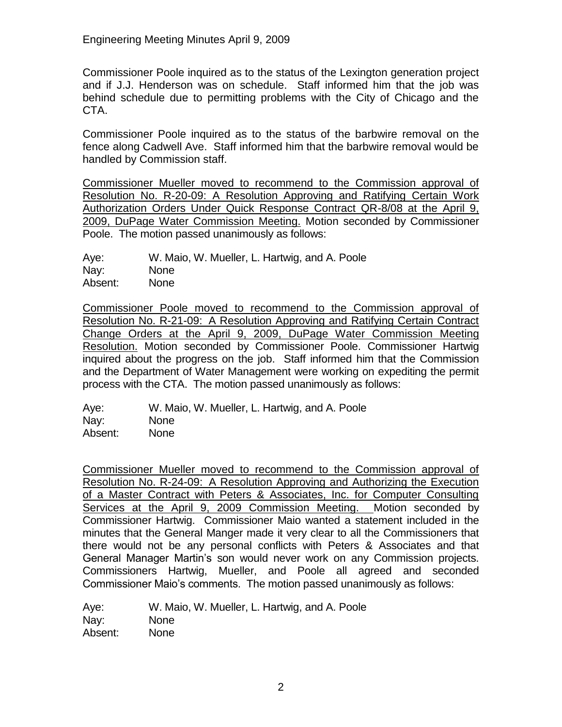Commissioner Poole inquired as to the status of the Lexington generation project and if J.J. Henderson was on schedule. Staff informed him that the job was behind schedule due to permitting problems with the City of Chicago and the CTA.

Commissioner Poole inquired as to the status of the barbwire removal on the fence along Cadwell Ave. Staff informed him that the barbwire removal would be handled by Commission staff.

Commissioner Mueller moved to recommend to the Commission approval of Resolution No. R-20-09: A Resolution Approving and Ratifying Certain Work Authorization Orders Under Quick Response Contract QR-8/08 at the April 9, 2009, DuPage Water Commission Meeting. Motion seconded by Commissioner Poole. The motion passed unanimously as follows:

Aye: W. Maio, W. Mueller, L. Hartwig, and A. Poole Nay: None Absent: None

Commissioner Poole moved to recommend to the Commission approval of Resolution No. R-21-09: A Resolution Approving and Ratifying Certain Contract Change Orders at the April 9, 2009, DuPage Water Commission Meeting Resolution. Motion seconded by Commissioner Poole. Commissioner Hartwig inquired about the progress on the job. Staff informed him that the Commission and the Department of Water Management were working on expediting the permit process with the CTA. The motion passed unanimously as follows:

Aye: W. Maio, W. Mueller, L. Hartwig, and A. Poole Nay: None Absent: None

Commissioner Mueller moved to recommend to the Commission approval of Resolution No. R-24-09: A Resolution Approving and Authorizing the Execution of a Master Contract with Peters & Associates, Inc. for Computer Consulting Services at the April 9, 2009 Commission Meeting. Motion seconded by Commissioner Hartwig. Commissioner Maio wanted a statement included in the minutes that the General Manger made it very clear to all the Commissioners that there would not be any personal conflicts with Peters & Associates and that General Manager Martin's son would never work on any Commission projects. Commissioners Hartwig, Mueller, and Poole all agreed and seconded Commissioner Maio's comments. The motion passed unanimously as follows:

Aye: W. Maio, W. Mueller, L. Hartwig, and A. Poole Nay: None Absent: None